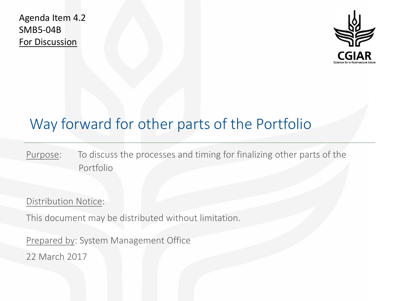Agenda Item 4.2 SMB5-04B For Discussion



## Way forward for other parts of the Portfolio

Purpose: To discuss the processes and timing for finalizing other parts of the Portfolio

Distribution Notice:

This document may be distributed without limitation.

Prepared by: System Management Office 22 March 2017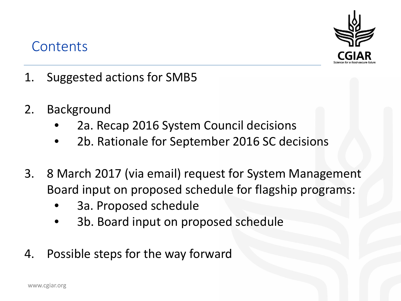#### **Contents**



- 1. Suggested actions for SMB5
- 2. Background
	- 2a. Recap 2016 System Council decisions
	- 2b. Rationale for September 2016 SC decisions
- 3. 8 March 2017 (via email) request for System Management Board input on proposed schedule for flagship programs:
	- 3a. Proposed schedule
	- 3b. Board input on proposed schedule
- 4. Possible steps for the way forward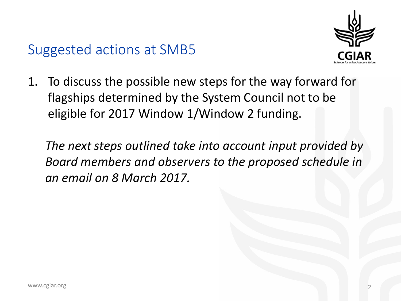1. To discuss the possible new steps for the way forward for flagships determined by the System Council not to be eligible for 2017 Window 1/Window 2 funding.

*The next steps outlined take into account input provided by Board members and observers to the proposed schedule in an email on 8 March 2017.*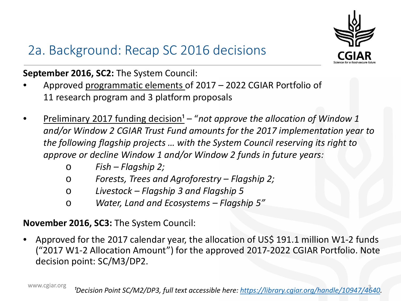

# 2a. Background: Recap SC 2016 decisions

**September 2016, SC2:** The System Council:

- Approved programmatic elements of 2017 2022 CGIAR Portfolio of 11 research program and 3 platform proposals
- <u>Preliminary 2017 funding decision<sup>1</sup></u> "not approve the allocation of Window 1 *and/or Window 2 CGIAR Trust Fund amounts for the 2017 implementation year to the following flagship projects … with the System Council reserving its right to approve or decline Window 1 and/or Window 2 funds in future years:*
	- o *Fish – Flagship 2;*
	- o *Forests, Trees and Agroforestry – Flagship 2;*
	- o *Livestock – Flagship 3 and Flagship 5*
	- o *Water, Land and Ecosystems – Flagship 5"*

**November 2016, SC3:** The System Council:

• Approved for the 2017 calendar year, the allocation of US\$ 191.1 million W1-2 funds ("2017 W1-2 Allocation Amount") for the approved 2017-2022 CGIAR Portfolio. Note decision point: SC/M3/DP2.

www.cgiar.org

<sup>3</sup> *¹Decision Point SC/M2/DP3, full text accessible here: [https://library.cgiar.org/handle/10947/4640.](https://library.cgiar.org/handle/10947/4640)*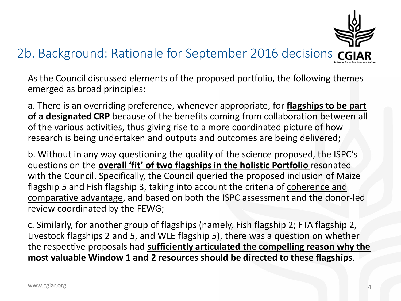

#### 2b. Background: Rationale for September 2016 decisions

As the Council discussed elements of the proposed portfolio, the following themes emerged as broad principles:

a. There is an overriding preference, whenever appropriate, for **flagships to be part of a designated CRP** because of the benefits coming from collaboration between all of the various activities, thus giving rise to a more coordinated picture of how research is being undertaken and outputs and outcomes are being delivered;

b. Without in any way questioning the quality of the science proposed, the ISPC's questions on the **overall 'fit' of two flagships in the holistic Portfolio** resonated with the Council. Specifically, the Council queried the proposed inclusion of Maize flagship 5 and Fish flagship 3, taking into account the criteria of coherence and comparative advantage, and based on both the ISPC assessment and the donor-led review coordinated by the FEWG;

c. Similarly, for another group of flagships (namely, Fish flagship 2; FTA flagship 2, Livestock flagships 2 and 5, and WLE flagship 5), there was a question on whether the respective proposals had **sufficiently articulated the compelling reason why the most valuable Window 1 and 2 resources should be directed to these flagships**.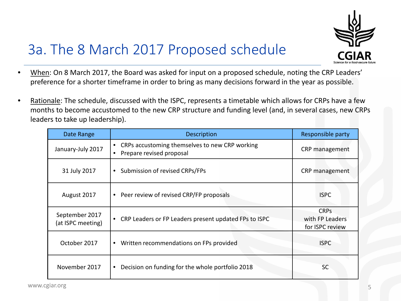

## 3a. The 8 March 2017 Proposed schedule

- When: On 8 March 2017, the Board was asked for input on a proposed schedule, noting the CRP Leaders' preference for a shorter timeframe in order to bring as many decisions forward in the year as possible.
- Rationale: The schedule, discussed with the ISPC, represents a timetable which allows for CRPs have a few months to become accustomed to the new CRP structure and funding level (and, in several cases, new CRPs leaders to take up leadership).

| Date Range                          | <b>Description</b>                                                         | Responsible party                                 |
|-------------------------------------|----------------------------------------------------------------------------|---------------------------------------------------|
| January-July 2017                   | CRPs accustoming themselves to new CRP working<br>Prepare revised proposal | CRP management                                    |
| 31 July 2017                        | Submission of revised CRPs/FPs<br>$\bullet$                                | CRP management                                    |
| August 2017                         | Peer review of revised CRP/FP proposals<br>$\bullet$                       | <b>ISPC</b>                                       |
| September 2017<br>(at ISPC meeting) | CRP Leaders or FP Leaders present updated FPs to ISPC                      | <b>CRPs</b><br>with FP Leaders<br>for ISPC review |
| October 2017                        | Written recommendations on FPs provided<br>٠                               | <b>ISPC</b>                                       |
| November 2017                       | Decision on funding for the whole portfolio 2018                           | <b>SC</b>                                         |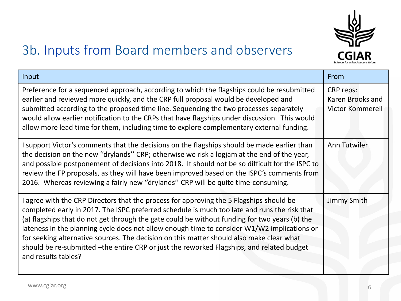

## 3b. Inputs from Board members and observers

| Input                                                                                                                                                                                                                                                                                                                                                                                                                                                                                                                                                                                                   | From                                              |
|---------------------------------------------------------------------------------------------------------------------------------------------------------------------------------------------------------------------------------------------------------------------------------------------------------------------------------------------------------------------------------------------------------------------------------------------------------------------------------------------------------------------------------------------------------------------------------------------------------|---------------------------------------------------|
| Preference for a sequenced approach, according to which the flagships could be resubmitted<br>earlier and reviewed more quickly, and the CRP full proposal would be developed and<br>submitted according to the proposed time line. Sequencing the two processes separately<br>would allow earlier notification to the CRPs that have flagships under discussion. This would<br>allow more lead time for them, including time to explore complementary external funding.                                                                                                                                | CRP reps:<br>Karen Brooks and<br>Victor Kommerell |
| I support Victor's comments that the decisions on the flagships should be made earlier than<br>the decision on the new "drylands" CRP; otherwise we risk a logjam at the end of the year,<br>and possible postponement of decisions into 2018. It should not be so difficult for the ISPC to<br>review the FP proposals, as they will have been improved based on the ISPC's comments from<br>2016. Whereas reviewing a fairly new "drylands" CRP will be quite time-consuming.                                                                                                                         | Ann Tutwiler                                      |
| I agree with the CRP Directors that the process for approving the 5 Flagships should be<br>completed early in 2017. The ISPC preferred schedule is much too late and runs the risk that<br>(a) flagships that do not get through the gate could be without funding for two years (b) the<br>lateness in the planning cycle does not allow enough time to consider W1/W2 implications or<br>for seeking alternative sources. The decision on this matter should also make clear what<br>should be re-submitted -the entire CRP or just the reworked Flagships, and related budget<br>and results tables? | Jimmy Smith                                       |